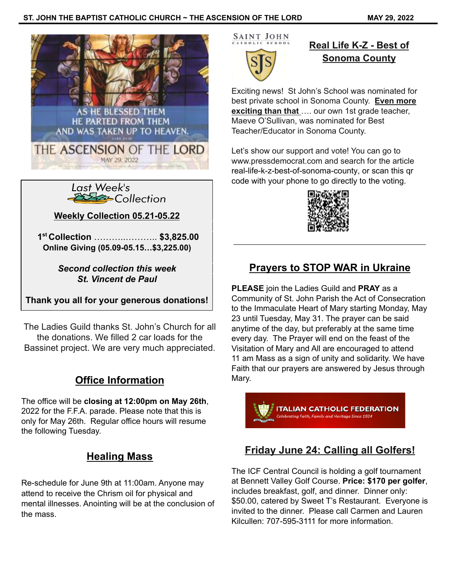



**Weekly Collection 05.21-05.22**

**1 st Collection** ………..……….. **\$3,825.00 Online Giving (05.09-05.15…\$3,225.00)**

> *Second collection this week St. Vincent de Paul*

**Thank you all for your generous donations!**

The Ladies Guild thanks St. John's Church for all the donations. We filled 2 car loads for the Bassinet project. We are very much appreciated.

## **Office Information**

The office will be **closing at 12:00pm on May 26th**, 2022 for the F.F.A. parade. Please note that this is only for May 26th. Regular office hours will resume the following Tuesday.

## **Healing Mass**

Re-schedule for June 9th at 11:00am. Anyone may attend to receive the Chrism oil for physical and mental illnesses. Anointing will be at the conclusion of the mass.

SAINT JOHN

## **Real Life K-Z - Best of Sonoma County**

Exciting news! St John's School was nominated for best private school in Sonoma County. **Even more exciting than that** …. our own 1st grade teacher,

Maeve O'Sullivan, was nominated for Best Teacher/Educator in Sonoma County.

Let's show our support and vote! You can go to www.pressdemocrat.com and search for the article [real-life-k-z-best-of-sonoma-county](https://www.pressdemocrat.com/article/multimedia/real-life-k-z-best-of-sonoma-county/), or scan this qr code with your phone to go directly to the voting.



# **Prayers to STOP WAR in Ukraine**

**PLEASE** join the Ladies Guild and **PRAY** as a Community of St. John Parish the Act of Consecration to the Immaculate Heart of Mary starting Monday, May 23 until Tuesday, May 31. The prayer can be said anytime of the day, but preferably at the same time every day. The Prayer will end on the feast of the Visitation of Mary and All are encouraged to attend 11 am Mass as a sign of unity and solidarity. We have Faith that our prayers are answered by Jesus through Mary.

**TALIAN CATHOLIC FEDERATION** 

## **Friday June 24: Calling all Golfers!**

The ICF Central Council is holding a golf tournament at Bennett Valley Golf Course. **Price: \$170 per golfer**, includes breakfast, golf, and dinner. Dinner only: \$50.00, catered by Sweet T's Restaurant. Everyone is invited to the dinner. Please call Carmen and Lauren Kilcullen: 707-595-3111 for more information.